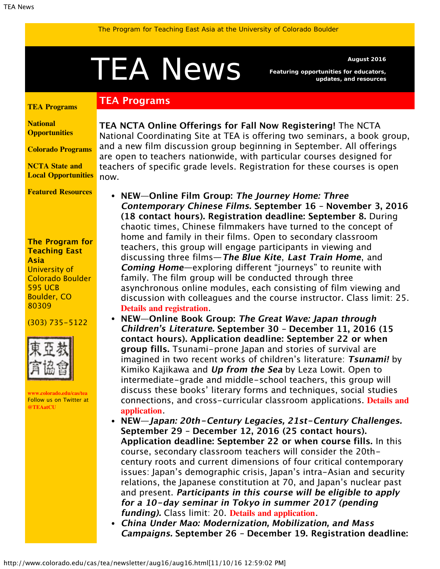# <span id="page-0-1"></span>A NeWS Featuring opportunities for educators,

**TEA Programs**

*Featuring opportunities for educators, updates, and resources*

#### <span id="page-0-0"></span>**[TEA Programs](#page-0-0)**

**[National](#page-0-1) [Opportunities](#page-0-1)**

**[Colorado Programs](#page-1-0)**

**[NCTA State and](#page-2-0) [Local Opportunities](#page-2-0)**

**[Featured Resources](#page-2-1)**

#### **The Program for Teaching East Asia** University of Colorado Boulder 595 UCB Boulder, CO 80309

#### (303) 735-5122



**[www.colorado.edu/cas/tea](http://www.colorado.edu/cas/tea)** Follow us on Twitter at **[@TEAatCU](https://twitter.com/TEAatCU)**

**TEA NCTA Online Offerings for Fall Now Registering!** The NCTA National Coordinating Site at TEA is offering two seminars, a book group, and a new film discussion group beginning in September. All offerings are open to teachers nationwide, with particular courses designed for teachers of specific grade levels. Registration for these courses is open now.

- **NEW—Online Film Group: The Journey Home: Three Contemporary Chinese Films. September 16 – November 3, 2016 (18 contact hours). Registration deadline: September 8.** During chaotic times, Chinese filmmakers have turned to the concept of home and family in their films. Open to secondary classroom teachers, this group will engage participants in viewing and discussing three films—**The Blue Kite**, **Last Train Home**, and **Coming Home**—exploring different "journeys" to reunite with family. The film group will be conducted through three asynchronous online modules, each consisting of film viewing and discussion with colleagues and the course instructor. Class limit: 25. **[Details and registration](http://www.colorado.edu/cas/tea/ncta/downloads/JourneyHomeFilmFlyer.pdf)**.
- **NEW—Online Book Group: The Great Wave: Japan through Children's Literature. September 30 – December 11, 2016 (15 contact hours). Application deadline: September 22 or when group fills.** Tsunami-prone Japan and stories of survival are imagined in two recent works of children's literature: **Tsunami!** by Kimiko Kajikawa and **Up from the Sea** by Leza Lowit. Open to intermediate-grade and middle-school teachers, this group will discuss these books' literary forms and techniques, social studies connections, and cross-curricular classroom applications. **[Details and](http://www.colorado.edu/cas/tea/ncta/downloads/WaveBookFlyer.pdf) [application](http://www.colorado.edu/cas/tea/ncta/downloads/WaveBookFlyer.pdf)**.
- **NEW—Japan: 20th-Century Legacies, 21st-Century Challenges. September 29 – December 12, 2016 (25 contact hours). Application deadline: September 22 or when course fills.** In this course, secondary classroom teachers will consider the 20thcentury roots and current dimensions of four critical contemporary issues: Japan's demographic crisis, Japan's intra-Asian and security relations, the Japanese constitution at 70, and Japan's nuclear past and present. **Participants in this course will be eligible to apply for a 10-day seminar in Tokyo in summer 2017 (pending funding).** Class limit: 20. **[Details and application](http://www.colorado.edu/cas/tea/ncta/downloads/JLegaciesChallengesFlyer.pdf)**.
- **China Under Mao: Modernization, Mobilization, and Mass Campaigns. September 26 – December 19. Registration deadline:**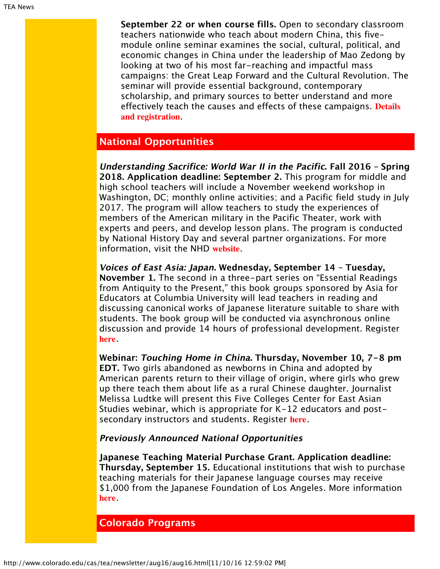**September 22 or when course fills.** Open to secondary classroom teachers nationwide who teach about modern China, this fivemodule online seminar examines the social, cultural, political, and economic changes in China under the leadership of Mao Zedong by looking at two of his most far-reaching and impactful mass campaigns: the Great Leap Forward and the Cultural Revolution. The seminar will provide essential background, contemporary scholarship, and primary sources to better understand and more effectively teach the causes and effects of these campaigns. **[Details](http://www.colorado.edu/cas/tea/ncta/downloads/ChinaUnderMaoFlyer.pdf) [and registration](http://www.colorado.edu/cas/tea/ncta/downloads/ChinaUnderMaoFlyer.pdf)**.

## **National Opportunities**

**Understanding Sacrifice: World War II in the Pacific. Fall 2016 – Spring 2018. Application deadline: September 2.** This program for middle and high school teachers will include a November weekend workshop in Washington, DC; monthly online activities; and a Pacific field study in July 2017. The program will allow teachers to study the experiences of members of the American military in the Pacific Theater, work with experts and peers, and develop lesson plans. The program is conducted by National History Day and several partner organizations. For more information, visit the NHD **[website](http://nhd.org/classroom-connection/american-battle-monuments-commission/)**.

**Voices of East Asia: Japan. Wednesday, September 14 – Tuesday, November 1.** The second in a three-part series on "Essential Readings from Antiquity to the Present," this book groups sponsored by Asia for Educators at Columbia University will lead teachers in reading and discussing canonical works of Japanese literature suitable to share with students. The book group will be conducted via asynchronous online discussion and provide 14 hours of professional development. Register **[here](http://asiaforeducators.org/login/index.php)**.

**Webinar: Touching Home in China. Thursday, November 10, 7-8 pm EDT.** Two girls abandoned as newborns in China and adopted by American parents return to their village of origin, where girls who grew up there teach them about life as a rural Chinese daughter. Journalist Melissa Ludtke will present this Five Colleges Center for East Asian Studies webinar, which is appropriate for K-12 educators and postsecondary instructors and students. Register **[here](https://attendee.gotowebinar.com/register/2599090833483500546?utm_source=August+15%2C+2016&utm_campaign=FCCEAS+e-bulletin&utm_medium=email)**.

#### **Previously Announced National Opportunities**

**Japanese Teaching Material Purchase Grant. Application deadline: Thursday, September 15.** Educational institutions that wish to purchase teaching materials for their Japanese language courses may receive \$1,000 from the Japanese Foundation of Los Angeles. More information **[here](http://www.jflalc.org/grants-jle-materials.html)**.

## <span id="page-1-0"></span>**Colorado Programs**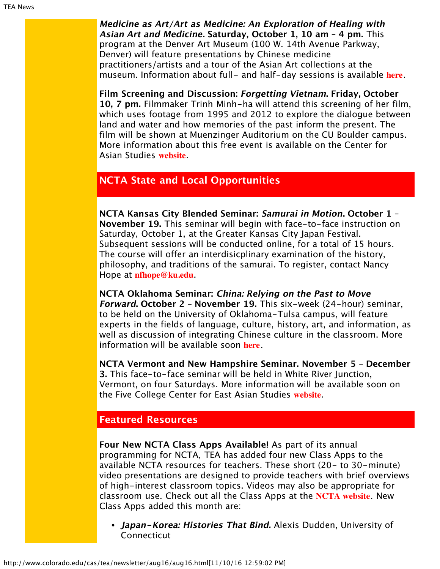**Medicine as Art/Art as Medicine: An Exploration of Healing with Asian Art and Medicine. Saturday, October 1, 10 am – 4 pm.** This program at the Denver Art Museum (100 W. 14th Avenue Parkway, Denver) will feature presentations by Chinese medicine practitioners/artists and a tour of the Asian Art collections at the museum. Information about full- and half-day sessions is available **[here](http://denverartmuseum.org/calendar/exploration-of-healing-asian-art-and-medicine)**.

**Film Screening and Discussion: Forgetting Vietnam. Friday, October 10, 7 pm.** Filmmaker Trinh Minh-ha will attend this screening of her film, which uses footage from 1995 and 2012 to explore the dialogue between land and water and how memories of the past inform the present. The film will be shown at Muenzinger Auditorium on the CU Boulder campus. More information about this free event is available on the Center for Asian Studies **[website](http://www.colorado.edu/cas/filmmaker-trinh-minh-ha-screening-forgetting-vietnam-20161014)**.

## <span id="page-2-0"></span>**NCTA State and Local Opportunities**

**NCTA Kansas City Blended Seminar: Samurai in Motion. October 1 – November 19.** This seminar will begin with face-to-face instruction on Saturday, October 1, at the Greater Kansas City Japan Festival. Subsequent sessions will be conducted online, for a total of 15 hours. The course will offer an interdisicplinary examination of the history, philosophy, and traditions of the samurai. To register, contact Nancy Hope at **[nfhope@ku.edu](mailto:nfhope@ku.edu)**.

**NCTA Oklahoma Seminar: China: Relying on the Past to Move Forward. October 2 – November 19.** This six-week (24-hour) seminar, to be held on the University of Oklahoma-Tulsa campus, will feature experts in the fields of language, culture, history, art, and information, as well as discussion of integrating Chinese culture in the classroom. More information will be available soon **[here](http://eai.ou.edu/)**.

**NCTA Vermont and New Hampshire Seminar. November 5 – December 3.** This face-to-face seminar will be held in White River Junction, Vermont, on four Saturdays. More information will be available soon on the Five College Center for East Asian Studies **[website](http://www.fivecolleges.edu/fcceas/ncta/vermont)**.

## <span id="page-2-1"></span>**Featured Resources**

**Four New NCTA Class Apps Available!** As part of its annual programming for NCTA, TEA has added four new Class Apps to the available NCTA resources for teachers. These short (20- to 30-minute) video presentations are designed to provide teachers with brief overviews of high-interest classroom topics. Videos may also be appropriate for classroom use. Check out all the Class Apps at the **[NCTA website](http://nctasia.org/resources/class-apps/)**. New Class Apps added this month are:

**Japan-Korea: Histories That Bind.** Alexis Dudden, University of **Connecticut**